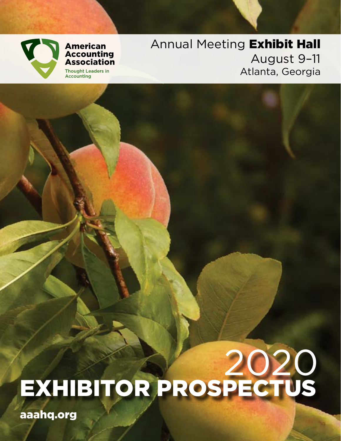

### **American Accounting Association Thought Leaders in**

**Accounting** 

Annual Meeting Exhibit Hall August 9–11 Atlanta, Georgia

# 2020 EXHIBITOR PROSPECTUS

aaahq.org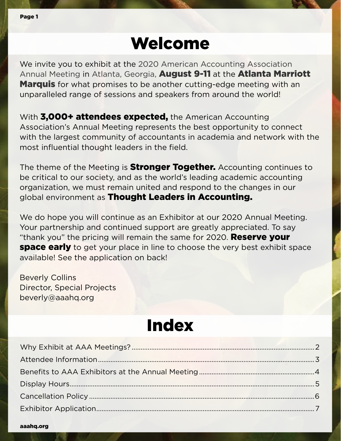## Welcome

We invite you to exhibit at the 2020 American Accounting Association Annual Meeting in Atlanta, Georgia, **August 9-11** at the **Atlanta Marriott Marquis** for what promises to be another cutting-edge meeting with an unparalleled range of sessions and speakers from around the world!

With 3,000+ attendees expected, the American Accounting Association's Annual Meeting represents the best opportunity to connect with the largest community of accountants in academia and network with the most influential thought leaders in the field.

The theme of the Meeting is **Stronger Together.** Accounting continues to be critical to our society, and as the world's leading academic accounting organization, we must remain united and respond to the changes in our global environment as Thought Leaders in Accounting.

We do hope you will continue as an Exhibitor at our 2020 Annual Meeting. Your partnership and continued support are greatly appreciated. To say "thank you" the pricing will remain the same for 2020. **Reserve your space early** to get your place in line to choose the very best exhibit space available! See the application on back!

Beverly Collins Director, Special Projects beverly@aaahq.org

## Index

aaahq.org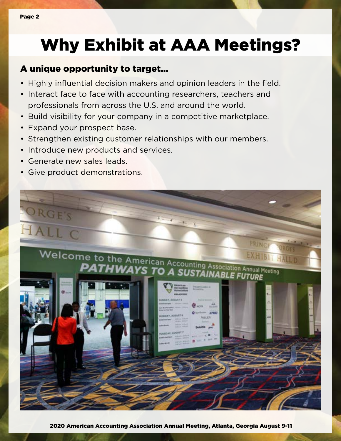## Why Exhibit at AAA Meetings?

### A unique opportunity to target...

- Highly influential decision makers and opinion leaders in the field.
- Interact face to face with accounting researchers, teachers and professionals from across the U.S. and around the world.
- Build visibility for your company in a competitive marketplace.
- Expand your prospect base.
- Strengthen existing customer relationships with our members.
- Introduce new products and services.
- Generate new sales leads.
- Give product demonstrations.

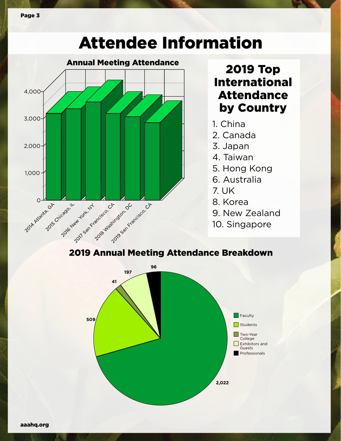## Attendee Information



### 2019 Top International Attendance by Country

- 1. China
- 2. Canada
- 3. Japan
- 4. Taiwan
- 5. Hong Kong
- 6. Australia
- 7. UK
- 8. Korea
- 9. New Zealand
- 10. Singapore

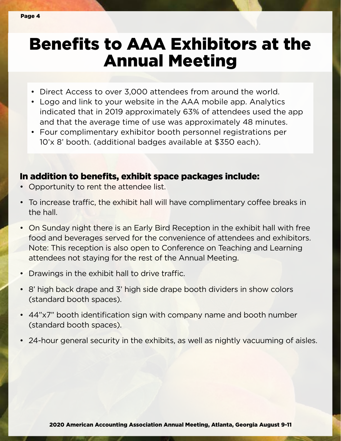### Benefits to AAA Exhibitors at the Annual Meeting

- Direct Access to over 3,000 attendees from around the world.
- Logo and link to your website in the AAA mobile app. Analytics indicated that in 2019 approximately 63% of attendees used the app and that the average time of use was approximately 48 minutes.
- Four complimentary exhibitor booth personnel registrations per 10'x 8' booth. (additional badges available at \$350 each).

### In addition to benefits, exhibit space packages include:

- Opportunity to rent the attendee list.
- To increase traffic, the exhibit hall will have complimentary coffee breaks in the hall.
- On Sunday night there is an Early Bird Reception in the exhibit hall with free food and beverages served for the convenience of attendees and exhibitors. Note: This reception is also open to Conference on Teaching and Learning attendees not staying for the rest of the Annual Meeting.
- Drawings in the exhibit hall to drive traffic.
- 8' high back drape and 3' high side drape booth dividers in show colors (standard booth spaces).
- 44"x7" booth identification sign with company name and booth number (standard booth spaces).
- 24-hour general security in the exhibits, as well as nightly vacuuming of aisles.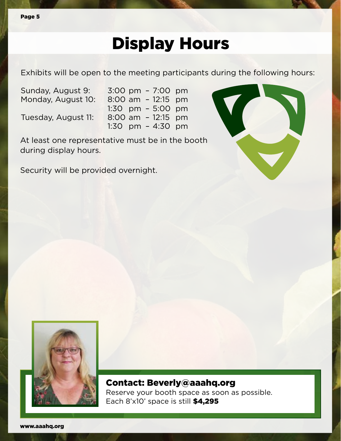## Display Hours

Exhibits will be open to the meeting participants during the following hours:

Sunday, August 9: 3:00 pm – 7:00 pm Monday, August 10: 8:00 am – 12:15 pm

 1:30 pm – 5:00 pm Tuesday, August 11: 8:00 am – 12:15 pm 1:30 pm – 4:30 pm

At least one representative must be in the booth during display hours.

Security will be provided overnight.





Contact: [Beverly@aaahq.org](mailto:Beverly%40aaahq.org%20?subject=2016%20Exhibitor)  Reserve your booth space as soon as possible. Each 8'x10' space is still \$4,295

www.aaahq.org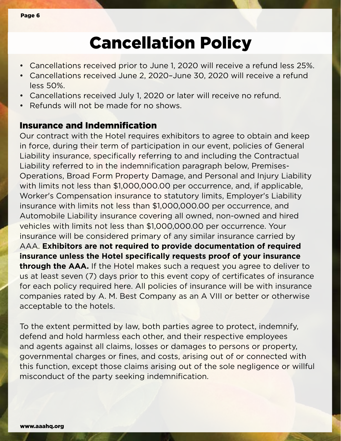## Cancellation Policy

- Cancellations received prior to June 1, 2020 will receive a refund less 25%.
- Cancellations received June 2, 2020–June 30, 2020 will receive a refund less 50%.
- Cancellations received July 1, 2020 or later will receive no refund.
- Refunds will not be made for no shows.

### Insurance and Indemnification

Our contract with the Hotel requires exhibitors to agree to obtain and keep in force, during their term of participation in our event, policies of General Liability insurance, specifically referring to and including the Contractual Liability referred to in the indemnification paragraph below, Premises-Operations, Broad Form Property Damage, and Personal and Injury Liability with limits not less than \$1,000,000.00 per occurrence, and, if applicable, Worker's Compensation insurance to statutory limits, Employer's Liability insurance with limits not less than \$1,000,000.00 per occurrence, and Automobile Liability insurance covering all owned, non-owned and hired vehicles with limits not less than \$1,000,000.00 per occurrence. Your insurance will be considered primary of any similar insurance carried by AAA. **Exhibitors are not required to provide documentation of required insurance unless the Hotel specifically requests proof of your insurance through the AAA.** If the Hotel makes such a request you agree to deliver to us at least seven (7) days prior to this event copy of certificates of insurance for each policy required here. All policies of insurance will be with insurance companies rated by A. M. Best Company as an A VIII or better or otherwise acceptable to the hotels.

To the extent permitted by law, both parties agree to protect, indemnify, defend and hold harmless each other, and their respective employees and agents against all claims, losses or damages to persons or property, governmental charges or fines, and costs, arising out of or connected with this function, except those claims arising out of the sole negligence or willful misconduct of the party seeking indemnification.